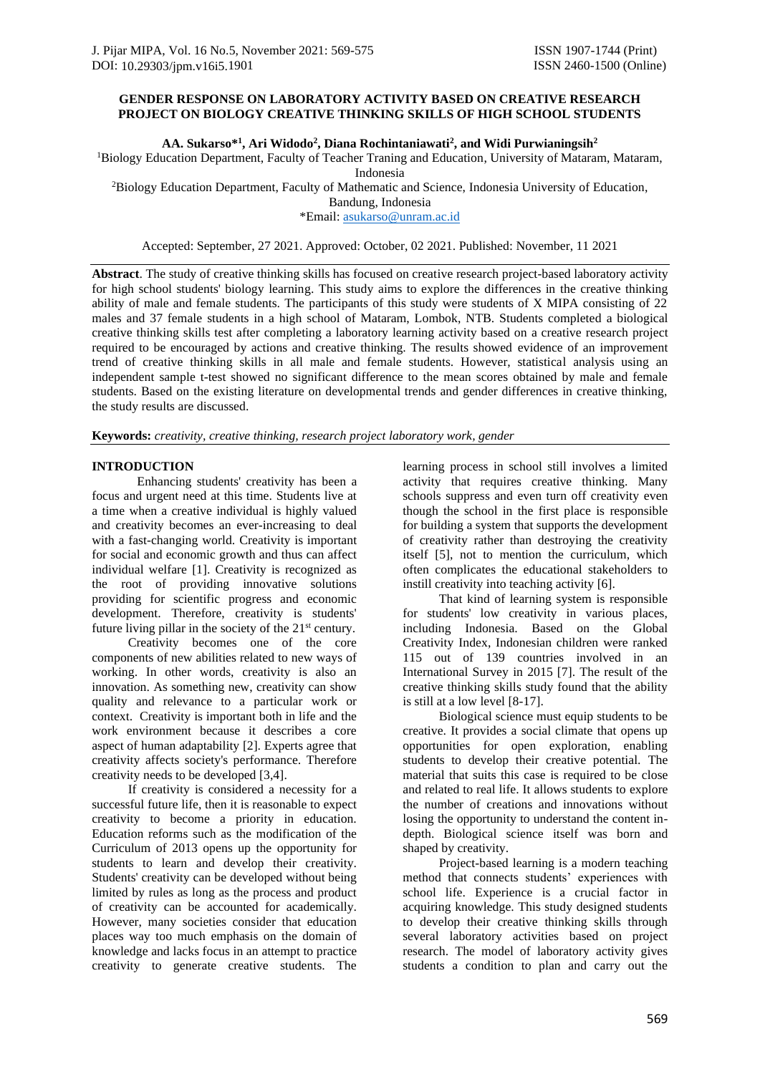# **GENDER RESPONSE ON LABORATORY ACTIVITY BASED ON CREATIVE RESEARCH PROJECT ON BIOLOGY CREATIVE THINKING SKILLS OF HIGH SCHOOL STUDENTS**

**AA. Sukarso\* 1 , Ari Widodo<sup>2</sup> , Diana Rochintaniawati<sup>2</sup> , and Widi Purwianingsih<sup>2</sup>**

<sup>1</sup>Biology Education Department, Faculty of Teacher Traning and Education, University of Mataram, Mataram, Indonesia

<sup>2</sup>Biology Education Department, Faculty of Mathematic and Science, Indonesia University of Education,

Bandung, Indonesia

\*Email: [asukarso@unram.ac.id](mailto:asukarso@unram.ac.id)

Accepted: September, 27 2021. Approved: October, 02 2021. Published: November, 11 2021

**Abstract**. The study of creative thinking skills has focused on creative research project-based laboratory activity for high school students' biology learning. This study aims to explore the differences in the creative thinking ability of male and female students. The participants of this study were students of X MIPA consisting of 22 males and 37 female students in a high school of Mataram, Lombok, NTB. Students completed a biological creative thinking skills test after completing a laboratory learning activity based on a creative research project required to be encouraged by actions and creative thinking. The results showed evidence of an improvement trend of creative thinking skills in all male and female students. However, statistical analysis using an independent sample t-test showed no significant difference to the mean scores obtained by male and female students. Based on the existing literature on developmental trends and gender differences in creative thinking, the study results are discussed.

**Keywords:** *creativity, creative thinking, research project laboratory work, gender*

# **INTRODUCTION**

Enhancing students' creativity has been a focus and urgent need at this time. Students live at a time when a creative individual is highly valued and creativity becomes an ever-increasing to deal with a fast-changing world. Creativity is important for social and economic growth and thus can affect individual welfare [1]. Creativity is recognized as the root of providing innovative solutions providing for scientific progress and economic development. Therefore, creativity is students' future living pillar in the society of the  $21<sup>st</sup>$  century.

Creativity becomes one of the core components of new abilities related to new ways of working. In other words, creativity is also an innovation. As something new, creativity can show quality and relevance to a particular work or context. Creativity is important both in life and the work environment because it describes a core aspect of human adaptability [2]. Experts agree that creativity affects society's performance. Therefore creativity needs to be developed [3,4].

If creativity is considered a necessity for a successful future life, then it is reasonable to expect creativity to become a priority in education. Education reforms such as the modification of the Curriculum of 2013 opens up the opportunity for students to learn and develop their creativity. Students' creativity can be developed without being limited by rules as long as the process and product of creativity can be accounted for academically. However, many societies consider that education places way too much emphasis on the domain of knowledge and lacks focus in an attempt to practice creativity to generate creative students. The

learning process in school still involves a limited activity that requires creative thinking. Many schools suppress and even turn off creativity even though the school in the first place is responsible for building a system that supports the development of creativity rather than destroying the creativity itself [5], not to mention the curriculum, which often complicates the educational stakeholders to instill creativity into teaching activity [6].

That kind of learning system is responsible for students' low creativity in various places, including Indonesia. Based on the Global Creativity Index, Indonesian children were ranked 115 out of 139 countries involved in an International Survey in 2015 [7]. The result of the creative thinking skills study found that the ability is still at a low level [8-17].

Biological science must equip students to be creative. It provides a social climate that opens up opportunities for open exploration, enabling students to develop their creative potential. The material that suits this case is required to be close and related to real life. It allows students to explore the number of creations and innovations without losing the opportunity to understand the content indepth. Biological science itself was born and shaped by creativity.

Project-based learning is a modern teaching method that connects students' experiences with school life. Experience is a crucial factor in acquiring knowledge. This study designed students to develop their creative thinking skills through several laboratory activities based on project research. The model of laboratory activity gives students a condition to plan and carry out the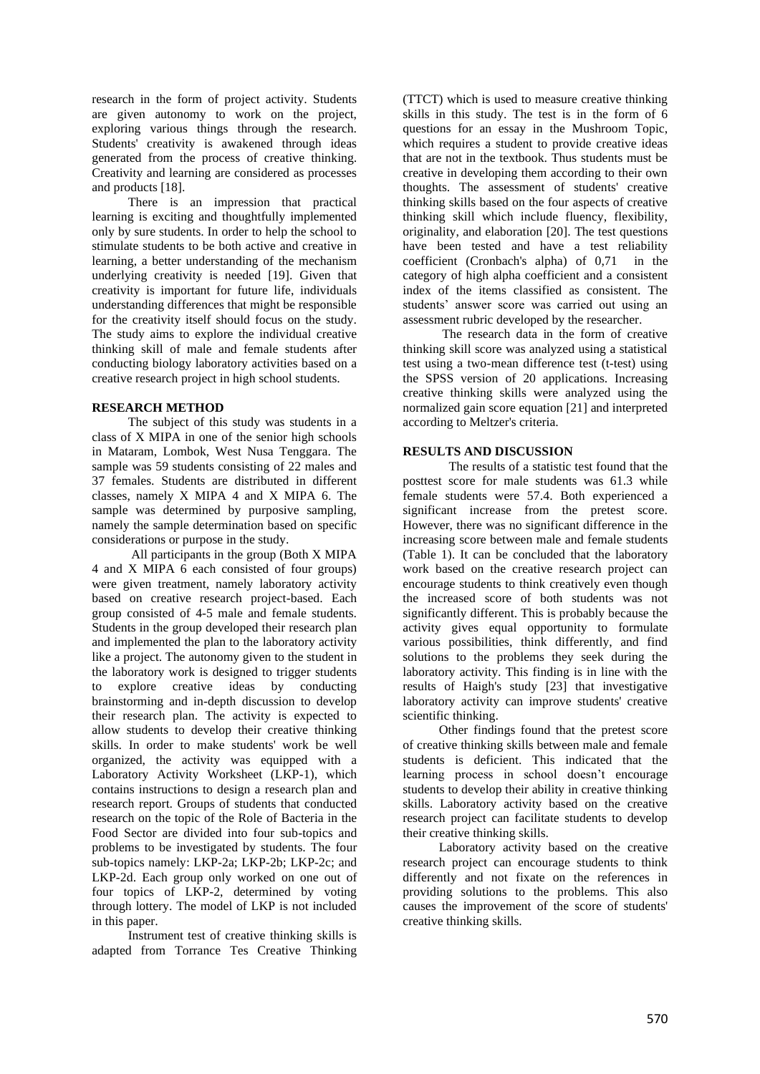research in the form of project activity. Students are given autonomy to work on the project, exploring various things through the research. Students' creativity is awakened through ideas generated from the process of creative thinking. Creativity and learning are considered as processes and products [18].

There is an impression that practical learning is exciting and thoughtfully implemented only by sure students. In order to help the school to stimulate students to be both active and creative in learning, a better understanding of the mechanism underlying creativity is needed [19]. Given that creativity is important for future life, individuals understanding differences that might be responsible for the creativity itself should focus on the study. The study aims to explore the individual creative thinking skill of male and female students after conducting biology laboratory activities based on a creative research project in high school students.

#### **RESEARCH METHOD**

The subject of this study was students in a class of X MIPA in one of the senior high schools in Mataram, Lombok, West Nusa Tenggara. The sample was 59 students consisting of 22 males and 37 females. Students are distributed in different classes, namely X MIPA 4 and X MIPA 6. The sample was determined by purposive sampling, namely the sample determination based on specific considerations or purpose in the study.

All participants in the group (Both X MIPA 4 and X MIPA 6 each consisted of four groups) were given treatment, namely laboratory activity based on creative research project-based. Each group consisted of 4-5 male and female students. Students in the group developed their research plan and implemented the plan to the laboratory activity like a project. The autonomy given to the student in the laboratory work is designed to trigger students to explore creative ideas by conducting brainstorming and in-depth discussion to develop their research plan. The activity is expected to allow students to develop their creative thinking skills. In order to make students' work be well organized, the activity was equipped with a Laboratory Activity Worksheet (LKP-1), which contains instructions to design a research plan and research report. Groups of students that conducted research on the topic of the Role of Bacteria in the Food Sector are divided into four sub-topics and problems to be investigated by students. The four sub-topics namely: LKP-2a; LKP-2b; LKP-2c; and LKP-2d. Each group only worked on one out of four topics of LKP-2, determined by voting through lottery. The model of LKP is not included in this paper.

Instrument test of creative thinking skills is adapted from Torrance Tes Creative Thinking

(TTCT) which is used to measure creative thinking skills in this study. The test is in the form of 6 questions for an essay in the Mushroom Topic, which requires a student to provide creative ideas that are not in the textbook. Thus students must be creative in developing them according to their own thoughts. The assessment of students' creative thinking skills based on the four aspects of creative thinking skill which include fluency, flexibility, originality, and elaboration [20]. The test questions have been tested and have a test reliability coefficient (Cronbach's alpha) of 0,71 in the category of high alpha coefficient and a consistent index of the items classified as consistent. The students' answer score was carried out using an assessment rubric developed by the researcher.

The research data in the form of creative thinking skill score was analyzed using a statistical test using a two-mean difference test (t-test) using the SPSS version of 20 applications. Increasing creative thinking skills were analyzed using the normalized gain score equation [21] and interpreted according to Meltzer's criteria.

# **RESULTS AND DISCUSSION**

The results of a statistic test found that the posttest score for male students was 61.3 while female students were 57.4. Both experienced a significant increase from the pretest score. However, there was no significant difference in the increasing score between male and female students (Table 1). It can be concluded that the laboratory work based on the creative research project can encourage students to think creatively even though the increased score of both students was not significantly different. This is probably because the activity gives equal opportunity to formulate various possibilities, think differently, and find solutions to the problems they seek during the laboratory activity. This finding is in line with the results of Haigh's study [23] that investigative laboratory activity can improve students' creative scientific thinking.

Other findings found that the pretest score of creative thinking skills between male and female students is deficient. This indicated that the learning process in school doesn't encourage students to develop their ability in creative thinking skills. Laboratory activity based on the creative research project can facilitate students to develop their creative thinking skills.

Laboratory activity based on the creative research project can encourage students to think differently and not fixate on the references in providing solutions to the problems. This also causes the improvement of the score of students' creative thinking skills.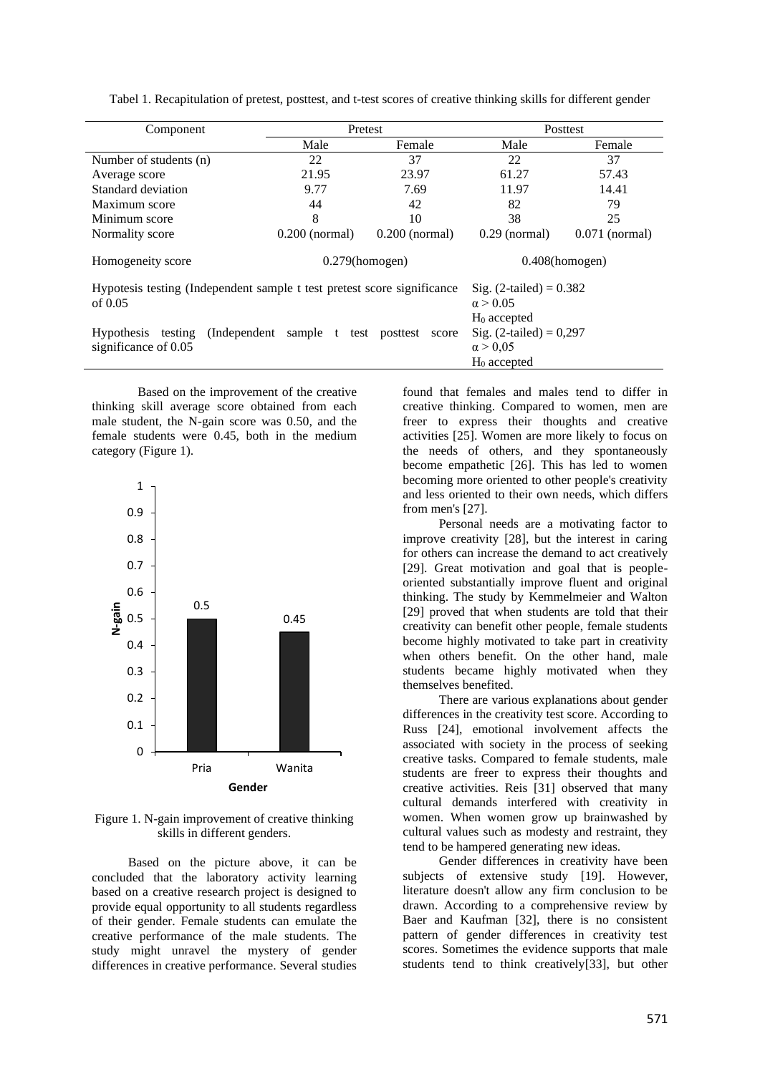| Component                                                                            | Pretest                                                            |                  | Posttest          |                  |  |  |
|--------------------------------------------------------------------------------------|--------------------------------------------------------------------|------------------|-------------------|------------------|--|--|
|                                                                                      | Male                                                               | Female           | Male              | Female           |  |  |
| Number of students (n)                                                               | 22                                                                 | 37               | 22                | 37               |  |  |
| Average score                                                                        | 21.95                                                              | 23.97            | 61.27             | 57.43            |  |  |
| Standard deviation                                                                   | 9.77                                                               | 7.69             | 11.97             | 14.41            |  |  |
| Maximum score                                                                        | 44                                                                 | 42               | 82                | 79               |  |  |
| Minimum score                                                                        | 8                                                                  | 10               | 38                | 25               |  |  |
| Normality score                                                                      | $0.200$ (normal)                                                   | $0.200$ (normal) |                   | $0.071$ (normal) |  |  |
| Homogeneity score                                                                    | $0.279$ (homogen)                                                  |                  | $0.408$ (homogen) |                  |  |  |
| Hypotesis testing (Independent sample t test pretest score significance<br>of $0.05$ | Sig. $(2$ -tailed $) = 0.382$<br>$\alpha > 0.05$<br>$H_0$ accepted |                  |                   |                  |  |  |
| (Independent)<br>testing<br><b>Hypothesis</b><br>significance of 0.05                | Sig. $(2$ -tailed $) = 0,297$<br>$\alpha > 0.05$<br>$H_0$ accepted |                  |                   |                  |  |  |

Tabel 1. Recapitulation of pretest, posttest, and t-test scores of creative thinking skills for different gender

Based on the improvement of the creative thinking skill average score obtained from each male student, the N-gain score was 0.50, and the female students were 0.45, both in the medium category (Figure 1).



Figure 1. N-gain improvement of creative thinking skills in different genders.

Based on the picture above, it can be concluded that the laboratory activity learning based on a creative research project is designed to provide equal opportunity to all students regardless of their gender. Female students can emulate the creative performance of the male students. The study might unravel the mystery of gender differences in creative performance. Several studies

found that females and males tend to differ in creative thinking. Compared to women, men are freer to express their thoughts and creative activities [25]. Women are more likely to focus on the needs of others, and they spontaneously become empathetic [26]. This has led to women becoming more oriented to other people's creativity and less oriented to their own needs, which differs from men's [27].

Personal needs are a motivating factor to improve creativity [28], but the interest in caring for others can increase the demand to act creatively [29]. Great motivation and goal that is peopleoriented substantially improve fluent and original thinking. The study by Kemmelmeier and Walton [29] proved that when students are told that their creativity can benefit other people, female students become highly motivated to take part in creativity when others benefit. On the other hand, male students became highly motivated when they themselves benefited.

There are various explanations about gender differences in the creativity test score. According to Russ [24], emotional involvement affects the associated with society in the process of seeking creative tasks. Compared to female students, male students are freer to express their thoughts and creative activities. Reis [31] observed that many cultural demands interfered with creativity in women. When women grow up brainwashed by cultural values such as modesty and restraint, they tend to be hampered generating new ideas.

Gender differences in creativity have been subjects of extensive study [19]. However, literature doesn't allow any firm conclusion to be drawn. According to a comprehensive review by Baer and Kaufman [32], there is no consistent pattern of gender differences in creativity test scores. Sometimes the evidence supports that male students tend to think creatively[33], but other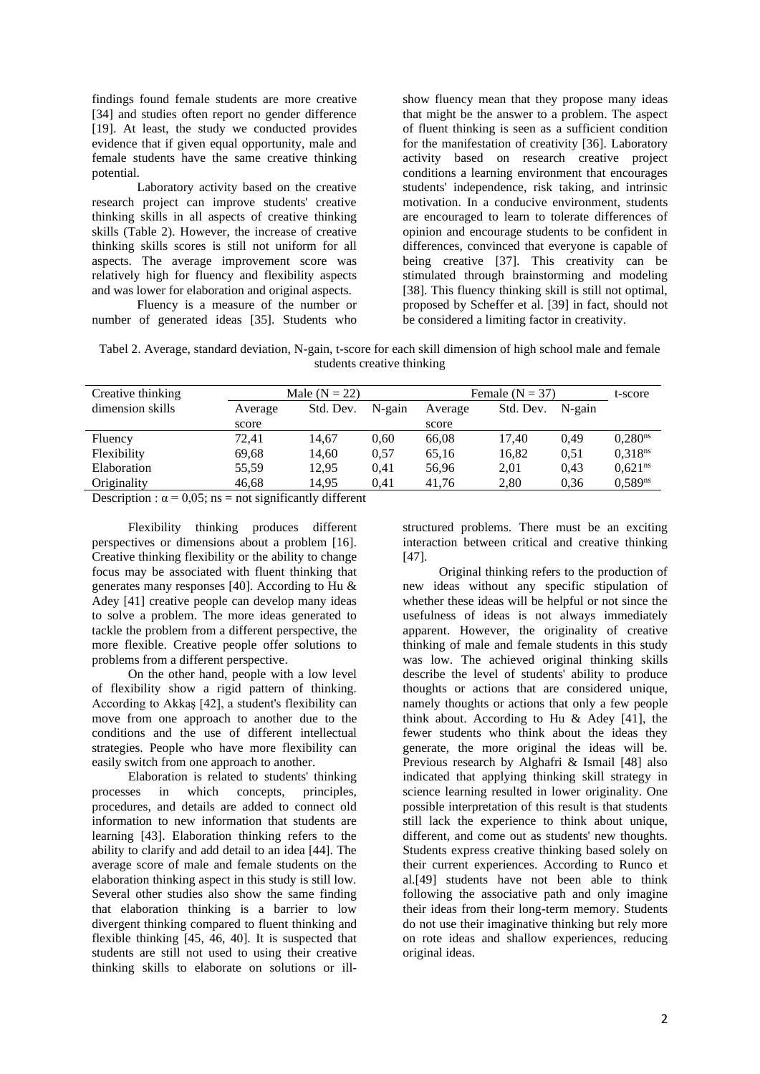findings found female students are more creative [34] and studies often report no gender difference [19]. At least, the study we conducted provides evidence that if given equal opportunity, male and female students have the same creative thinking potential.

Laboratory activity based on the creative research project can improve students' creative thinking skills in all aspects of creative thinking skills (Table 2). However, the increase of creative thinking skills scores is still not uniform for all aspects. The average improvement score was relatively high for fluency and flexibility aspects and was lower for elaboration and original aspects.

Fluency is a measure of the number or number of generated ideas [35]. Students who

show fluency mean that they propose many ideas that might be the answer to a problem. The aspect of fluent thinking is seen as a sufficient condition for the manifestation of creativity [36]. Laboratory activity based on research creative project conditions a learning environment that encourages students' independence, risk taking, and intrinsic motivation. In a conducive environment, students are encouraged to learn to tolerate differences of opinion and encourage students to be confident in differences, convinced that everyone is capable of being creative [37]. This creativity can be stimulated through brainstorming and modeling [38]. This fluency thinking skill is still not optimal, proposed by Scheffer et al. [39] in fact, should not be considered a limiting factor in creativity.

Tabel 2. Average, standard deviation, N-gain, t-score for each skill dimension of high school male and female students creative thinking

| Creative thinking | Male $(N = 22)$ |           |           | Female $(N = 37)$ |           |           | t-score             |
|-------------------|-----------------|-----------|-----------|-------------------|-----------|-----------|---------------------|
| dimension skills  | Average         | Std. Dev. | $N$ -gain | Average           | Std. Dev. | $N$ -gain |                     |
|                   | score           |           |           | score             |           |           |                     |
| Fluency           | 72.41           | 14.67     | 0.60      | 66,08             | 17.40     | 0.49      | 0.280 <sup>ns</sup> |
| Flexibility       | 69,68           | 14,60     | 0.57      | 65,16             | 16,82     | 0.51      | 0.318 <sup>ns</sup> |
| Elaboration       | 55.59           | 12.95     | 0.41      | 56,96             | 2.01      | 0.43      | 0.621 <sup>ns</sup> |
| Originality       | 46,68           | 14,95     | 0.41      | 41.76             | 2,80      | 0.36      | $0.589^{ns}$        |

Description :  $\alpha = 0.05$ ; ns = not significantly different

Flexibility thinking produces different perspectives or dimensions about a problem [16]. Creative thinking flexibility or the ability to change focus may be associated with fluent thinking that generates many responses [40]. According to Hu & Adey [41] creative people can develop many ideas to solve a problem. The more ideas generated to tackle the problem from a different perspective, the more flexible. Creative people offer solutions to problems from a different perspective.

On the other hand, people with a low level of flexibility show a rigid pattern of thinking. According to Akkaş [42], a student's flexibility can move from one approach to another due to the conditions and the use of different intellectual strategies. People who have more flexibility can easily switch from one approach to another.

Elaboration is related to students' thinking processes in which concepts, principles, procedures, and details are added to connect old information to new information that students are learning [43]. Elaboration thinking refers to the ability to clarify and add detail to an idea [44]. The average score of male and female students on the elaboration thinking aspect in this study is still low. Several other studies also show the same finding that elaboration thinking is a barrier to low divergent thinking compared to fluent thinking and flexible thinking [45, 46, 40]. It is suspected that students are still not used to using their creative thinking skills to elaborate on solutions or ill-

structured problems. There must be an exciting interaction between critical and creative thinking [47].

Original thinking refers to the production of new ideas without any specific stipulation of whether these ideas will be helpful or not since the usefulness of ideas is not always immediately apparent. However, the originality of creative thinking of male and female students in this study was low. The achieved original thinking skills describe the level of students' ability to produce thoughts or actions that are considered unique, namely thoughts or actions that only a few people think about. According to Hu & Adey [41], the fewer students who think about the ideas they generate, the more original the ideas will be. Previous research by Alghafri & Ismail [48] also indicated that applying thinking skill strategy in science learning resulted in lower originality. One possible interpretation of this result is that students still lack the experience to think about unique, different, and come out as students' new thoughts. Students express creative thinking based solely on their current experiences. According to Runco et al.[49] students have not been able to think following the associative path and only imagine their ideas from their long-term memory. Students do not use their imaginative thinking but rely more on rote ideas and shallow experiences, reducing original ideas.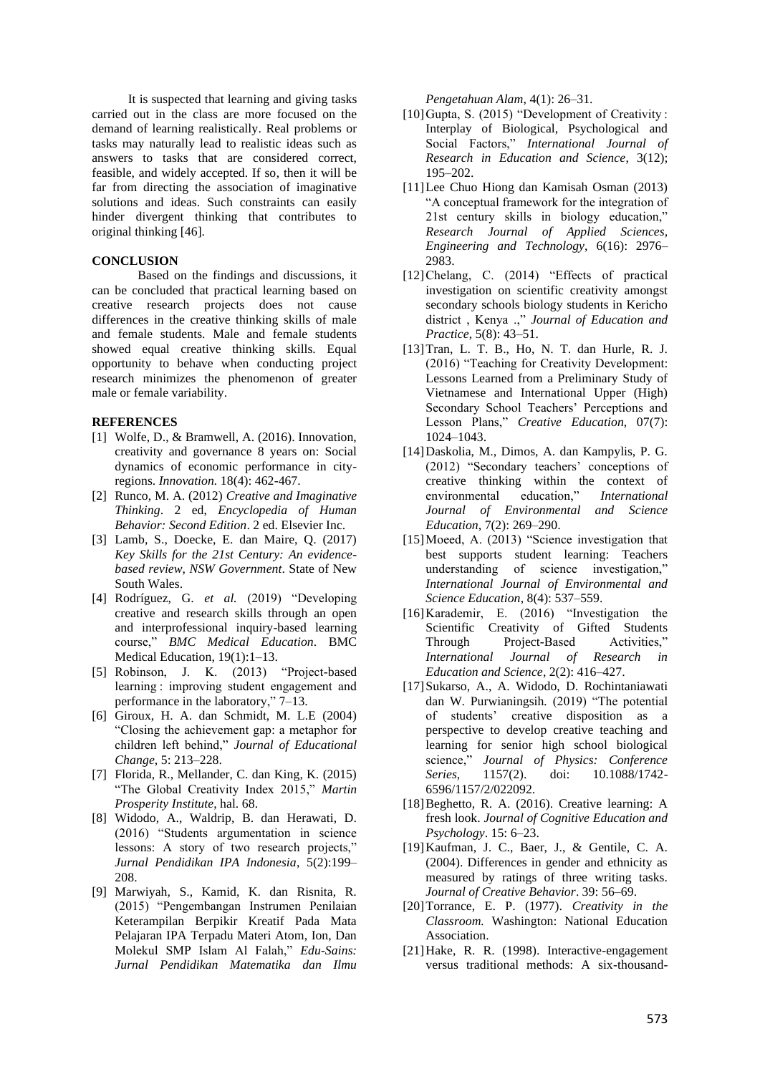It is suspected that learning and giving tasks carried out in the class are more focused on the demand of learning realistically. Real problems or tasks may naturally lead to realistic ideas such as answers to tasks that are considered correct, feasible, and widely accepted. If so, then it will be far from directing the association of imaginative solutions and ideas. Such constraints can easily hinder divergent thinking that contributes to original thinking [46].

#### **CONCLUSION**

Based on the findings and discussions, it can be concluded that practical learning based on creative research projects does not cause differences in the creative thinking skills of male and female students. Male and female students showed equal creative thinking skills. Equal opportunity to behave when conducting project research minimizes the phenomenon of greater male or female variability.

#### **REFERENCES**

- [1] Wolfe, D., & Bramwell, A. (2016). Innovation, creativity and governance 8 years on: Social dynamics of economic performance in cityregions. *Innovation.* 18(4): 462-467.
- [2] Runco, M. A. (2012) *Creative and Imaginative Thinking*. 2 ed, *Encyclopedia of Human Behavior: Second Edition*. 2 ed. Elsevier Inc.
- [3] Lamb, S., Doecke, E. dan Maire, Q. (2017) *Key Skills for the 21st Century: An evidencebased review*, *NSW Government*. State of New South Wales.
- [4] Rodríguez, G. *et al.* (2019) "Developing creative and research skills through an open and interprofessional inquiry-based learning course," *BMC Medical Education*. BMC Medical Education, 19(1):1–13.<br>Robinson, J. K. (2013) "Project-based
- $[5]$  Robinson, J. K.  $(2013)$ learning : improving student engagement and performance in the laboratory," 7–13.
- [6] Giroux, H. A. dan Schmidt, M. L.E (2004) "Closing the achievement gap: a metaphor for children left behind," *Journal of Educational Change*, 5: 213–228.
- [7] Florida, R., Mellander, C. dan King, K. (2015) "The Global Creativity Index 2015," *Martin Prosperity Institute*, hal. 68.
- [8] Widodo, A., Waldrip, B. dan Herawati, D. (2016) "Students argumentation in science lessons: A story of two research projects," *Jurnal Pendidikan IPA Indonesia*, 5(2):199– 208.
- [9] Marwiyah, S., Kamid, K. dan Risnita, R. (2015) "Pengembangan Instrumen Penilaian Keterampilan Berpikir Kreatif Pada Mata Pelajaran IPA Terpadu Materi Atom, Ion, Dan Molekul SMP Islam Al Falah," *Edu-Sains: Jurnal Pendidikan Matematika dan Ilmu*

*Pengetahuan Alam*, 4(1): 26–31.

- [10] Gupta, S. (2015) "Development of Creativity : Interplay of Biological, Psychological and Social Factors," *International Journal of Research in Education and Science*, 3(12); 195–202.
- [11]Lee Chuo Hiong dan Kamisah Osman (2013) "A conceptual framework for the integration of 21st century skills in biology education," *Research Journal of Applied Sciences, Engineering and Technology*, 6(16): 2976– 2983.
- [12]Chelang, C. (2014) "Effects of practical investigation on scientific creativity amongst secondary schools biology students in Kericho district , Kenya .," *Journal of Education and Practice*, 5(8): 43–51.
- [13]Tran, L. T. B., Ho, N. T. dan Hurle, R. J. (2016) "Teaching for Creativity Development: Lessons Learned from a Preliminary Study of Vietnamese and International Upper (High) Secondary School Teachers' Perceptions and Lesson Plans," *Creative Education*, 07(7): 1024–1043.
- [14]Daskolia, M., Dimos, A. dan Kampylis, P. G. (2012) "Secondary teachers' conceptions of creative thinking within the context of environmental education," *International Journal of Environmental and Science Education*, 7(2): 269–290.
- [15] Moeed, A. (2013) "Science investigation that best supports student learning: Teachers understanding of science investigation," *International Journal of Environmental and Science Education*, 8(4): 537–559.
- [16]Karademir, E. (2016) "Investigation the Scientific Creativity of Gifted Students Through Project-Based Activities," *International Journal of Research in Education and Science*, 2(2): 416–427.
- [17]Sukarso, A., A. Widodo, D. Rochintaniawati dan W. Purwianingsih*.* (2019) "The potential of students' creative disposition as a perspective to develop creative teaching and learning for senior high school biological science," *Journal of Physics: Conference Series*, 1157(2). doi: 10.1088/1742- 6596/1157/2/022092.
- [18] Beghetto, R. A. (2016). Creative learning: A fresh look. *Journal of Cognitive Education and Psychology*. 15: 6–23.
- [19]Kaufman, J. C., Baer, J., & Gentile, C. A. (2004). Differences in gender and ethnicity as measured by ratings of three writing tasks. *Journal of Creative Behavior*. 39: 56–69.
- [20]Torrance, E. P. (1977). *Creativity in the Classroom.* Washington: National Education Association.
- [21]Hake, R. R. (1998). Interactive-engagement versus traditional methods: A six-thousand-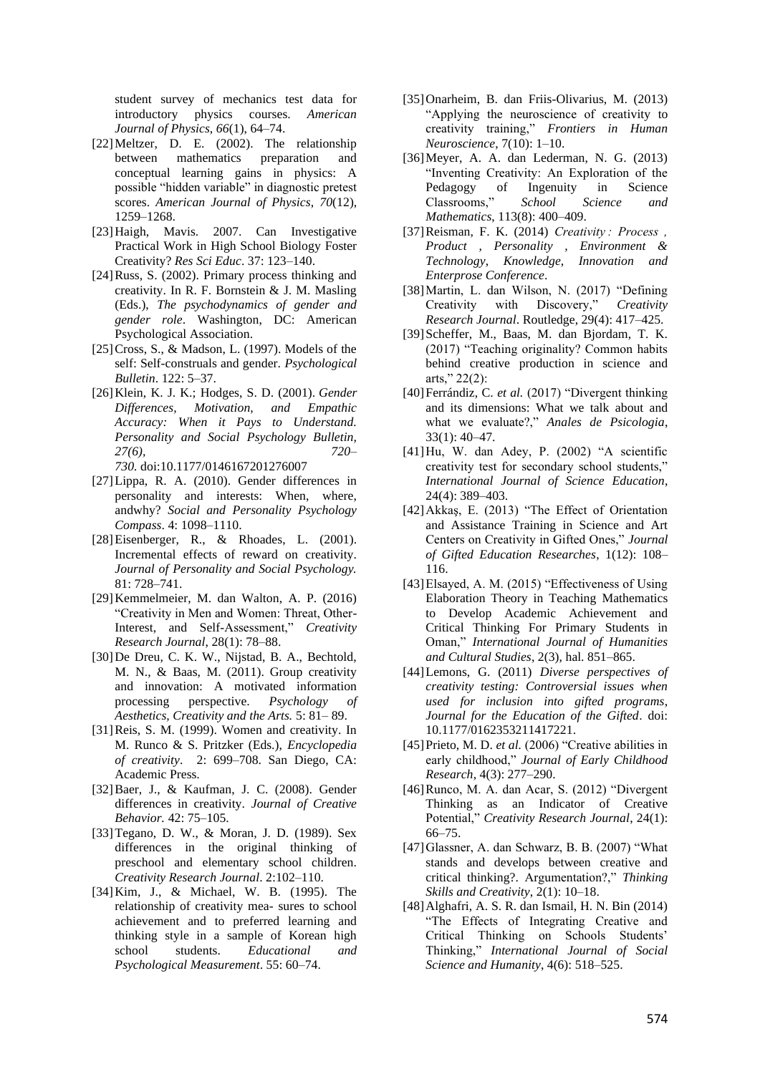student survey of mechanics test data for introductory physics courses. *American Journal of Physics*, *66*(1), 64–74.

- [22]Meltzer, D. E. (2002). The relationship between mathematics preparation and conceptual learning gains in physics: A possible "hidden variable" in diagnostic pretest scores. *American Journal of Physics*, *70*(12), 1259–1268.
- [23]Haigh, Mavis. 2007. Can Investigative Practical Work in High School Biology Foster Creativity? *Res Sci Educ*. 37: 123–140.
- [24]Russ, S. (2002). Primary process thinking and creativity. In R. F. Bornstein & J. M. Masling (Eds.), *The psychodynamics of gender and gender role*. Washington, DC: American Psychological Association.
- [25] Cross, S., & Madson, L. (1997). Models of the self: Self-construals and gender. *Psychological Bulletin*. 122: 5–37.
- [26]Klein, K. J. K.; Hodges, S. D. (2001). *Gender Differences, Motivation, and Empathic Accuracy: When it Pays to Understand. Personality and Social Psychology Bulletin, 27(6), 720– 730.* doi:10.1177/0146167201276007
- [27]Lippa, R. A. (2010). Gender differences in personality and interests: When, where, andwhy? *Social and Personality Psychology Compass*. 4: 1098–1110.
- [28] Eisenberger, R., & Rhoades, L. (2001). Incremental effects of reward on creativity. *Journal of Personality and Social Psychology.* 81: 728–741.
- [29]Kemmelmeier, M. dan Walton, A. P. (2016) "Creativity in Men and Women: Threat, Other-Interest, and Self-Assessment," *Creativity Research Journal*, 28(1): 78–88.
- [30]De Dreu, C. K. W., Nijstad, B. A., Bechtold, M. N., & Baas, M. (2011). Group creativity and innovation: A motivated information processing perspective. *Psychology of Aesthetics, Creativity and the Arts.* 5: 81– 89.
- [31]Reis, S. M. (1999). Women and creativity. In M. Runco & S. Pritzker (Eds.), *Encyclopedia of creativity*. 2: 699–708. San Diego, CA: Academic Press.
- [32]Baer, J., & Kaufman, J. C. (2008). Gender differences in creativity. *Journal of Creative Behavior.* 42: 75–105.
- [33] Tegano, D. W., & Moran, J. D. (1989). Sex differences in the original thinking of preschool and elementary school children. *Creativity Research Journal*. 2:102–110.
- [34]Kim, J., & Michael, W. B. (1995). The relationship of creativity mea- sures to school achievement and to preferred learning and thinking style in a sample of Korean high school students. *Educational and Psychological Measurement*. 55: 60–74.
- [35]Onarheim, B. dan Friis-Olivarius, M. (2013) "Applying the neuroscience of creativity to creativity training," *Frontiers in Human Neuroscience*, 7(10): 1–10.
- [36]Meyer, A. A. dan Lederman, N. G. (2013) "Inventing Creativity: An Exploration of the Pedagogy of Ingenuity in Science Classrooms," *School Science and Mathematics*, 113(8): 400–409.
- [37]Reisman, F. K. (2014) *Creativity : Process , Product , Personality , Environment & Technology*, *Knowledge, Innovation and Enterprose Conference*.
- [38]Martin, L. dan Wilson, N. (2017) "Defining Creativity with Discovery," *Creativity Research Journal*. Routledge, 29(4): 417–425.
- [39]Scheffer, M., Baas, M. dan Bjordam, T. K. (2017) "Teaching originality? Common habits behind creative production in science and arts," 22(2):
- [40]Ferrándiz, C. *et al.* (2017) "Divergent thinking and its dimensions: What we talk about and what we evaluate?," *Anales de Psicologia*, 33(1): 40–47.
- [41]Hu, W. dan Adey, P. (2002) "A scientific creativity test for secondary school students," *International Journal of Science Education*, 24(4): 389–403.
- [42]Akkaş, E. (2013) "The Effect of Orientation and Assistance Training in Science and Art Centers on Creativity in Gifted Ones," *Journal of Gifted Education Researches*, 1(12): 108– 116.
- [43]Elsayed, A. M. (2015) "Effectiveness of Using Elaboration Theory in Teaching Mathematics to Develop Academic Achievement and Critical Thinking For Primary Students in Oman," *International Journal of Humanities and Cultural Studies*, 2(3), hal. 851–865.
- [44]Lemons, G. (2011) *Diverse perspectives of creativity testing: Controversial issues when used for inclusion into gifted programs*, *Journal for the Education of the Gifted*. doi: 10.1177/0162353211417221.
- [45]Prieto, M. D. *et al.* (2006) "Creative abilities in early childhood," *Journal of Early Childhood Research*, 4(3): 277–290.
- [46]Runco, M. A. dan Acar, S. (2012) "Divergent Thinking as an Indicator of Creative Potential," *Creativity Research Journal*, 24(1): 66–75.
- [47]Glassner, A. dan Schwarz, B. B. (2007) "What stands and develops between creative and critical thinking?. Argumentation?," *Thinking Skills and Creativity*, 2(1): 10–18.
- [48]Alghafri, A. S. R. dan Ismail, H. N. Bin (2014) "The Effects of Integrating Creative and Critical Thinking on Schools Students' Thinking," *International Journal of Social Science and Humanity*, 4(6): 518–525.